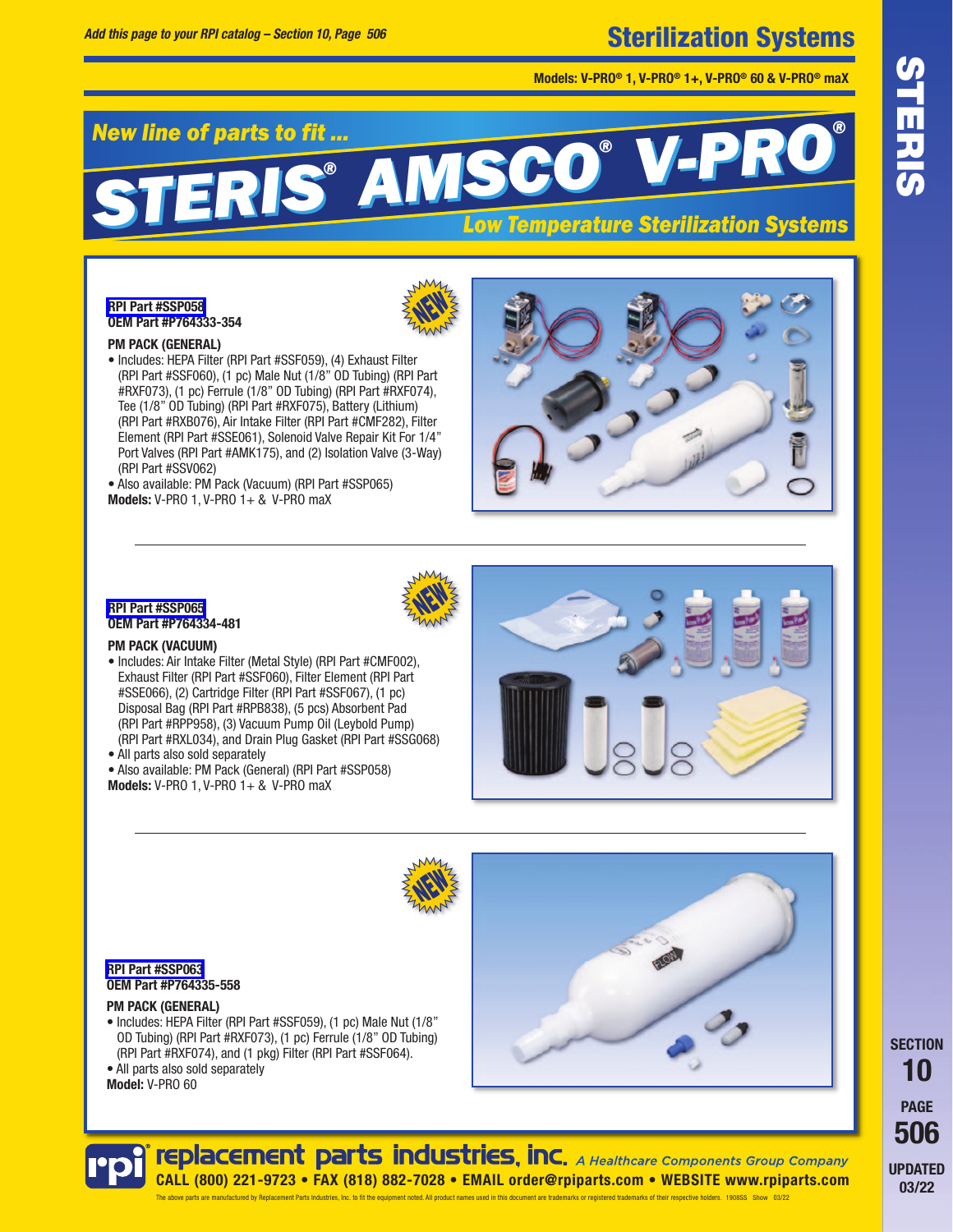# Sterilization Systems

**Models: V-PRO® 1, V-PRO® 1+, V-PRO® 60 & V-PRO® maX**

#### *New line of parts to fit ... STERIS® AMSCO® V-PRO® STERIS® AMSCO® V-PRO® Low Temperature Sterilization Systems*

## **[RPI Part #SSP058](https://www.rpiparts.com/RPIPartDetail.aspx?rpinum=SSP058) OEM Part #P764333-354**

#### **PM PACK (GENERAL)**

• Includes: HEPA Filter (RPI Part #SSF059), (4) Exhaust Filter (RPI Part #SSF060), (1 pc) Male Nut (1/8" OD Tubing) (RPI Part #RXF073), (1 pc) Ferrule (1/8" OD Tubing) (RPI Part #RXF074), Tee (1/8" OD Tubing) (RPI Part #RXF075), Battery (Lithium) (RPI Part #RXB076), Air Intake Filter (RPI Part #CMF282), Filter Element (RPI Part #SSE061), Solenoid Valve Repair Kit For 1/4" Port Valves (RPI Part #AMK175), and (2) Isolation Valve (3-Way) (RPI Part #SSV062)

• Also available: PM Pack (Vacuum) (RPI Part #SSP065) **Models:** V-PRO 1, V-PRO 1+ & V-PRO maX





## **[RPI Part #SSP065](https://www.rpiparts.com/RPIPartDetail.aspx?rpinum=SSP065) OEM Part #P764334-481**

#### **PM PACK (VACUUM)**

- Includes: Air Intake Filter (Metal Style) (RPI Part #CMF002), Exhaust Filter (RPI Part #SSF060), Filter Element (RPI Part #SSE066), (2) Cartridge Filter (RPI Part #SSF067), (1 pc) Disposal Bag (RPI Part #RPB838), (5 pcs) Absorbent Pad (RPI Part #RPP958), (3) Vacuum Pump Oil (Leybold Pump) (RPI Part #RXL034), and Drain Plug Gasket (RPI Part #SSG068)
- All parts also sold separately

• Also available: PM Pack (General) (RPI Part #SSP058) **Models:** V-PRO 1, V-PRO 1+ & V-PRO maX





#### **[RPI Part #SSP063](https://www.rpiparts.com/RPIPartDetail.aspx?rpinum=SSP063) OEM Part #P764335-558**

#### **PM PACK (GENERAL)**

• Includes: HEPA Filter (RPI Part #SSF059), (1 pc) Male Nut (1/8" OD Tubing) (RPI Part #RXF073), (1 pc) Ferrule (1/8" OD Tubing) (RPI Part #RXF074), and (1 pkg) Filter (RPI Part #SSF064).

• All parts also sold separately **Model:** V-PRO 60



**03/22** SPORT BOATE<br>
PAGE<br>
PDATE<br>
03/22 **SECTION 10 PAGE 506 UPDATED** 03/22

# **replacement parts industries, inc.** A Healthcare Components Group Company **CALL (800) 221-9723 • FAX (818) 882-7028 • EMAIL order@rpiparts.com • WEBSITE www.rpiparts.com** The above nats are manufactured by Benjacement Parts Industries Inc. to fit the equipment noted. All product names used in this document are trademarks or registered trademarks of their respective holders. 1908S. Show 03/2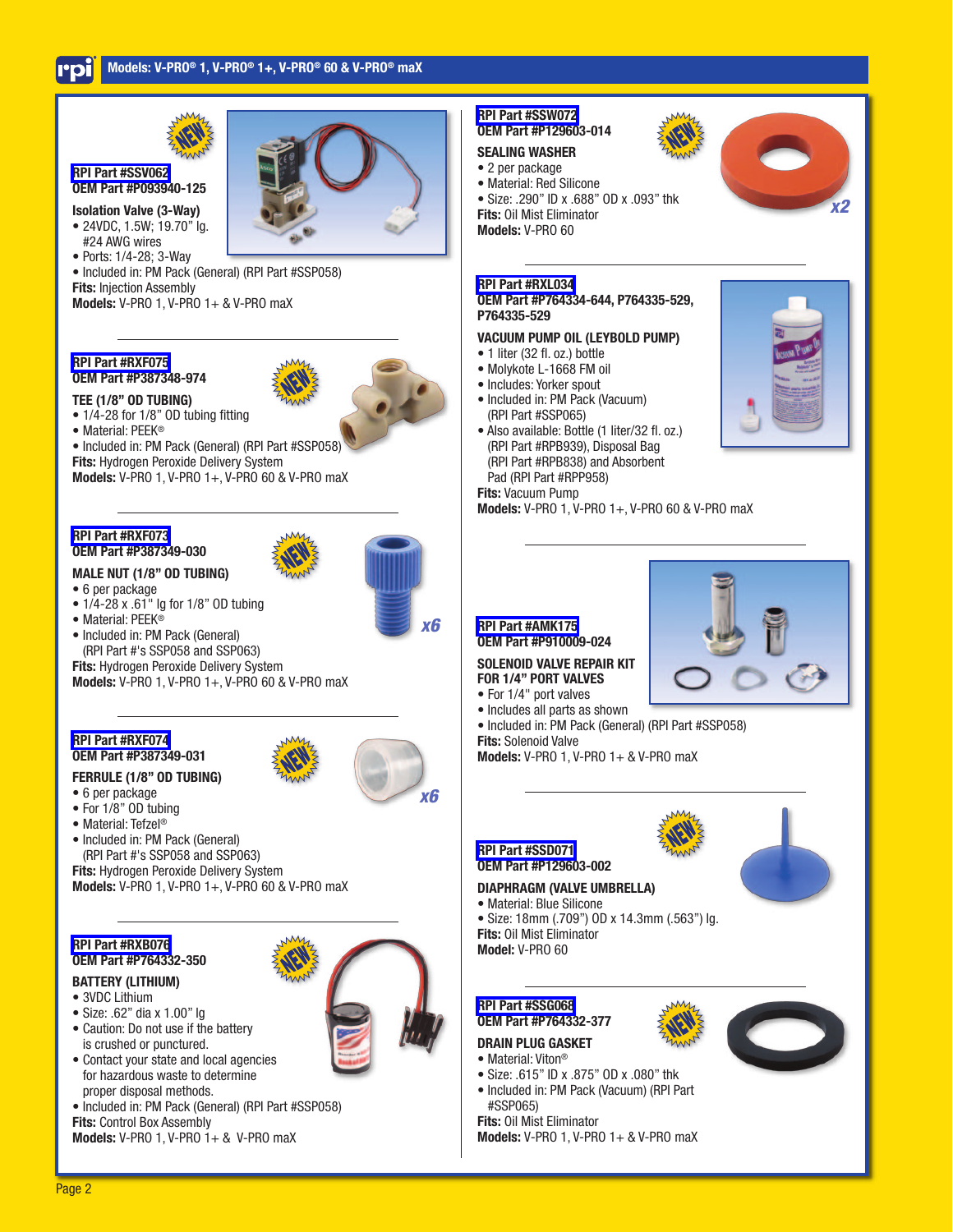



### **[RPI Part #SSV062](https://www.rpiparts.com/RPIPartDetail.aspx?rpinum=SSV062) OEM Part #P093940-125**

- **Isolation Valve (3-Way)** • 24VDC, 1.5W; 19.70" lg. #24 AWG wires
- Ports: 1/4-28; 3-Way

• Included in: PM Pack (General) (RPI Part #SSP058) **Fits:** Injection Assembly

**Models:** V-PRO 1, V-PRO 1+ & V-PRO maX

### **[RPI Part #RXF075](https://www.rpiparts.com/RPIPartDetail.aspx?rpinum=RXF075) OEM Part #P387348-974 TEE (1/8" OD TUBING)**



- 1/4-28 for 1/8" OD tubing fitting
- Material: PEEK®

• Included in: PM Pack (General) (RPI Part #SSP058)

**Fits:** Hydrogen Peroxide Delivery System

**Models:** V-PRO 1, V-PRO 1+, V-PRO 60 & V-PRO maX

#### **[RPI Part #RXF073](https://www.rpiparts.com/RPIPartDetail.aspx?rpinum=RXF073) OEM Part #P387349-030**

# **MALE NUT (1/8" OD TUBING)**



- 1/4-28 x .61" la for 1/8" OD tubing
- Material: PEEK®
- Included in: PM Pack (General) (RPI Part #'s SSP058 and SSP063)

**Fits:** Hydrogen Peroxide Delivery System **Models:** V-PRO 1, V-PRO 1+, V-PRO 60 & V-PRO maX

#### **[RPI Part #RXF074](https://www.rpiparts.com/RPIPartDetail.aspx?rpinum=RXF074) OEM Part #P387349-031**

# **FERRULE (1/8" OD TUBING)**



- For 1/8" OD tubing
- Material: Tefzel®
- Included in: PM Pack (General) (RPI Part #'s SSP058 and SSP063)

**Fits:** Hydrogen Peroxide Delivery System **Models:** V-PRO 1, V-PRO 1+, V-PRO 60 & V-PRO maX

## **[RPI Part #RXB076](https://www.rpiparts.com/RPIPartDetail.aspx?rpinum=RXB076) OEM Part #P764332-350**

# **BATTERY (LITHIUM)**

- 3VDC Lithium
- Size: .62" dia x 1.00" lg
- Caution: Do not use if the battery is crushed or punctured.
- Contact your state and local agencies for hazardous waste to determine proper disposal methods.
- Included in: PM Pack (General) (RPI Part #SSP058)
- **Fits:** Control Box Assembly

**Models:** V-PRO 1, V-PRO 1+ & V-PRO maX

# **[RPI Part #SSW072](https://www.rpiparts.com/RPIPartDetail.aspx?rpinum=SSW072) OEM Part #P129603-014**

# **SEALING WASHER**

• 2 per package • Material: Red Silicone

- Size: .290" ID x .688" OD x .093" thk
- **Fits:** Oil Mist Eliminator

**Models:** V-PRO 60

#### **[RPI Part #RXL034](https://www.rpiparts.com/RPIPartDetail.aspx?rpinum=RXL034) OEM Part #P764334-644, P764335-529, P764335-529**

# **VACUUM PUMP OIL (LEYBOLD PUMP)**

- 1 liter (32 fl. oz.) bottle
- Molykote L-1668 FM oil
- Includes: Yorker spout
- Included in: PM Pack (Vacuum) (RPI Part #SSP065)
- Also available: Bottle (1 liter/32 fl. oz.) (RPI Part #RPB939), Disposal Bag (RPI Part #RPB838) and Absorbent Pad (RPI Part #RPP958) **Fits:** Vacuum Pump

**Models:** V-PRO 1, V-PRO 1+, V-PRO 60 & V-PRO maX

# **[RPI Part #AMK175](https://www.rpiparts.com/RPIPartDetail.aspx?rpinum=AMK175) OEM Part #P910009-024**

# **SOLENOID VALVE REPAIR KIT FOR 1/4" PORT VALVES**

- For 1/4" port valves
- Includes all parts as shown
- Included in: PM Pack (General) (RPI Part #SSP058)
- **Fits:** Solenoid Valve

**Models:** V-PRO 1, V-PRO 1+ & V-PRO maX

# **[RPI Part #SSD071](https://www.rpiparts.com/RPIPartDetail.aspx?rpinum=SSD071) OEM Part #P129603-002**

# **DIAPHRAGM (VALVE UMBRELLA)**

- Material: Blue Silicone
- Size: 18mm (.709") OD x 14.3mm (.563") lg. **Fits:** Oil Mist Eliminator **Model:** V-PRO 60



#### **[RPI Part #SSG068](https://www.rpiparts.com/RPIPartDetail.aspx?rpinum=SSG068) OEM Part #P764332-377**

# **DRAIN PLUG GASKET**

- Material: Viton®
- Size: .615" ID x .875" OD x .080" thk • Included in: PM Pack (Vacuum) (RPI Part
- #SSP065) **Fits:** Oil Mist Eliminator
- **Models:** V-PRO 1, V-PRO 1+ & V-PRO maX



*x2*











*x6*

Page 2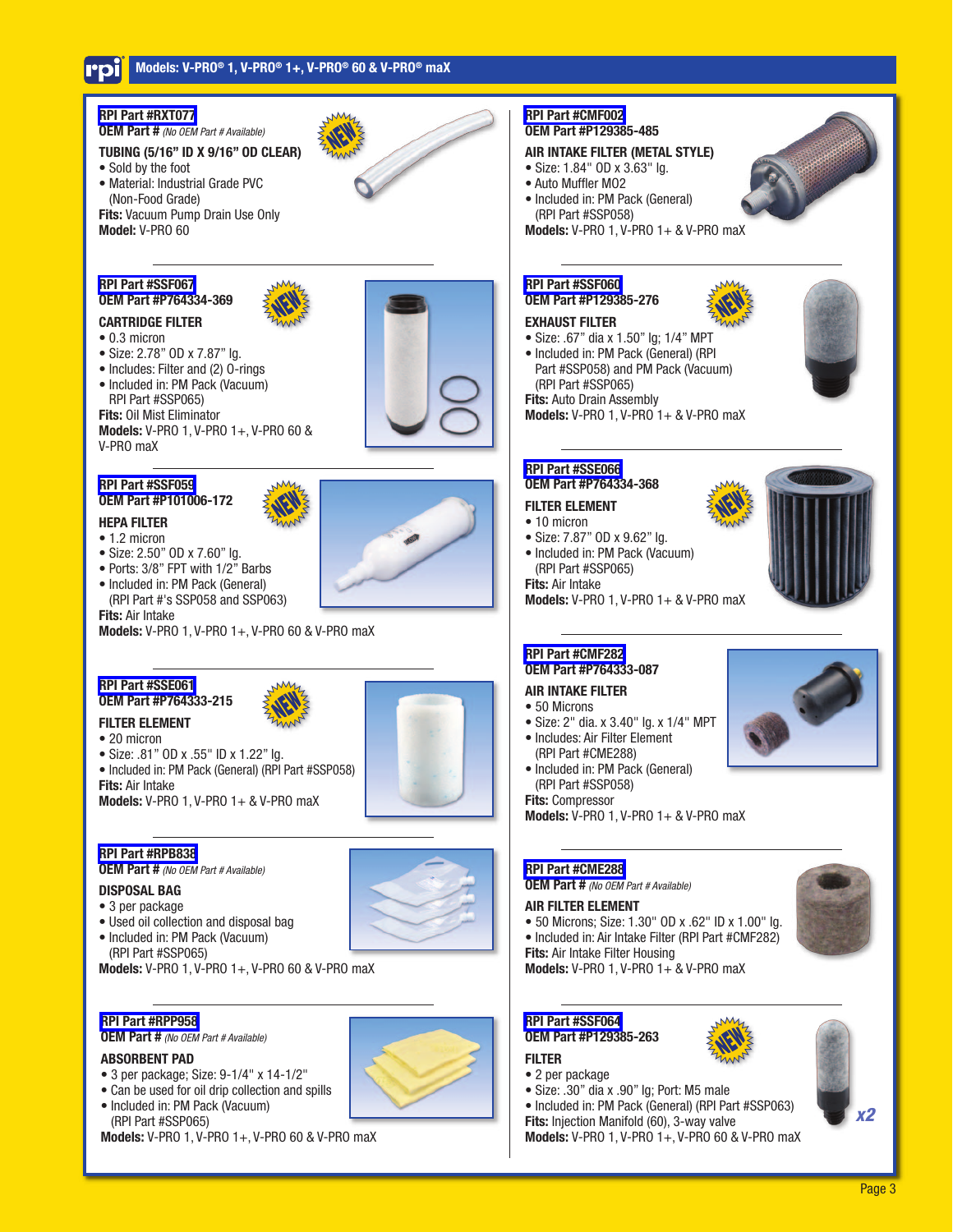

**Models:** V-PRO 1, V-PRO 1+, V-PRO 60 & V-PRO maX

**Models:** V-PRO 1, V-PRO 1+, V-PRO 60 & V-PRO maX